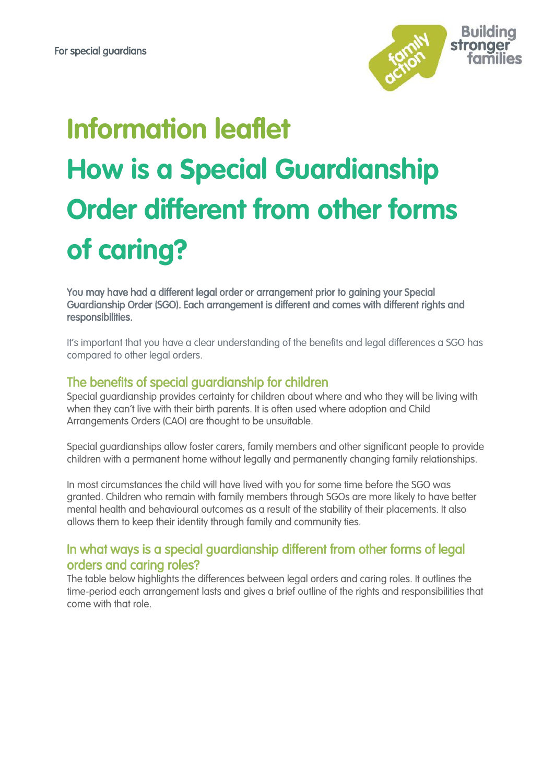

# **Information leaflet How is a Special Guardianship Order different from other forms of caring?**

You may have had a different legal order or arrangement prior to gaining your Special Guardianship Order (SGO). Each arrangement is different and comes with different rights and responsibilities.

It's important that you have a clear understanding of the benefits and legal differences a SGO has compared to other legal orders.

## The benefits of special guardianship for children

Special guardianship provides certainty for children about where and who they will be living with when they can't live with their birth parents. It is often used where adoption and Child Arrangements Orders (CAO) are thought to be unsuitable.

Special guardianships allow foster carers, family members and other significant people to provide children with a permanent home without legally and permanently changing family relationships.

In most circumstances the child will have lived with you for some time before the SGO was granted. Children who remain with family members through SGOs are more likely to have better mental health and behavioural outcomes as a result of the stability of their placements. It also allows them to keep their identity through family and community ties.

## In what ways is a special guardianship different from other forms of legal orders and caring roles?

The table below highlights the differences between legal orders and caring roles. It outlines the time-period each arrangement lasts and gives a brief outline of the rights and responsibilities that come with that role.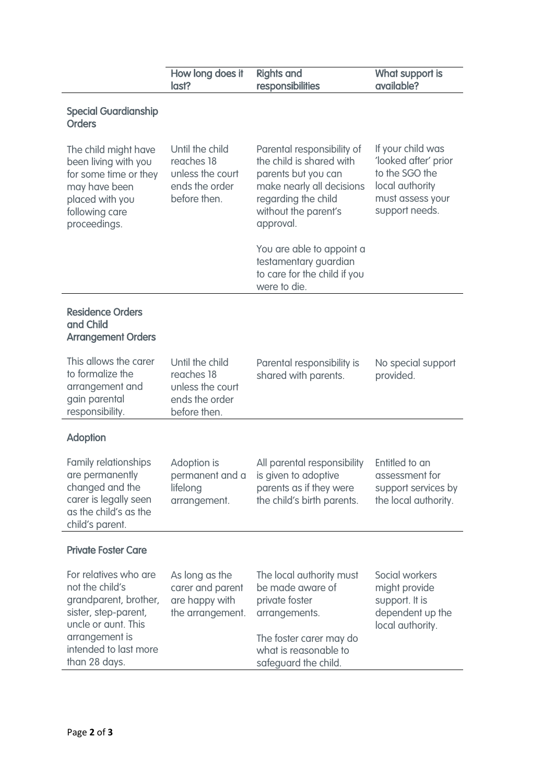| How long does it<br>last?                                                           | <b>Rights and</b><br>responsibilities                                                                                                                                  | What support is<br>available?                                                                                        |
|-------------------------------------------------------------------------------------|------------------------------------------------------------------------------------------------------------------------------------------------------------------------|----------------------------------------------------------------------------------------------------------------------|
|                                                                                     |                                                                                                                                                                        |                                                                                                                      |
| Until the child<br>reaches 18<br>unless the court<br>ends the order<br>before then. | Parental responsibility of<br>the child is shared with<br>parents but you can<br>make nearly all decisions<br>regarding the child<br>without the parent's<br>approval. | If your child was<br>'looked after' prior<br>to the SGO the<br>local authority<br>must assess your<br>support needs. |
|                                                                                     | You are able to appoint a<br>testamentary guardian<br>to care for the child if you<br>were to die.                                                                     |                                                                                                                      |
|                                                                                     |                                                                                                                                                                        |                                                                                                                      |
| Until the child<br>reaches 18<br>unless the court<br>ends the order<br>before then. | Parental responsibility is<br>shared with parents.                                                                                                                     | No special support<br>provided.                                                                                      |
|                                                                                     |                                                                                                                                                                        |                                                                                                                      |
| Adoption is<br>permanent and a<br>lifelong<br>arrangement.                          | All parental responsibility<br>is given to adoptive<br>parents as if they were<br>the child's birth parents.                                                           | Entitled to an<br>assessment for<br>support services by<br>the local authority.                                      |
|                                                                                     |                                                                                                                                                                        |                                                                                                                      |
| As long as the<br>carer and parent<br>are happy with<br>the arrangement.            | The local authority must<br>be made aware of<br>private foster<br>arrangements.<br>The foster carer may do<br>what is reasonable to                                    | Social workers<br>might provide<br>support. It is<br>dependent up the<br>local authority.                            |
|                                                                                     |                                                                                                                                                                        | safeguard the child.                                                                                                 |